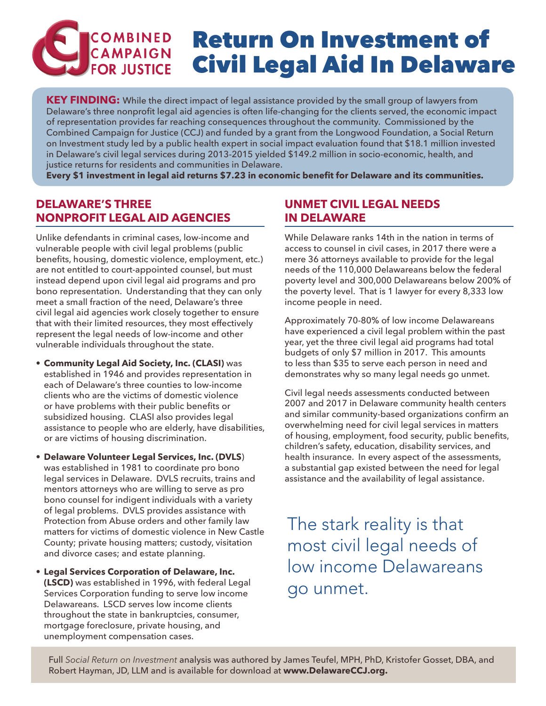# **COMBINED** Return On Investment of CAMPAIGN Civil Legal Aid In Delaware

**KEY FINDING:** While the direct impact of legal assistance provided by the small group of lawyers from Delaware's three nonprofit legal aid agencies is often life-changing for the clients served, the economic impact of representation provides far reaching consequences throughout the community. Commissioned by the Combined Campaign for Justice (CCJ) and funded by a grant from the Longwood Foundation, a Social Return on Investment study led by a public health expert in social impact evaluation found that \$18.1 million invested in Delaware's civil legal services during 2013-2015 yielded \$149.2 million in socio-economic, health, and justice returns for residents and communities in Delaware.

**Every \$1 investment in legal aid returns \$7.23 in economic benefit for Delaware and its communities.**

# **DELAWARE'S THREE NONPROFIT LEGAL AID AGENCIES**

Unlike defendants in criminal cases, low-income and vulnerable people with civil legal problems (public benefits, housing, domestic violence, employment, etc.) are not entitled to court-appointed counsel, but must instead depend upon civil legal aid programs and pro bono representation. Understanding that they can only meet a small fraction of the need, Delaware's three civil legal aid agencies work closely together to ensure that with their limited resources, they most effectively represent the legal needs of low-income and other vulnerable individuals throughout the state.

- **• Community Legal Aid Society, Inc. (CLASI)** was established in 1946 and provides representation in each of Delaware's three counties to low-income clients who are the victims of domestic violence or have problems with their public benefits or subsidized housing. CLASI also provides legal assistance to people who are elderly, have disabilities, or are victims of housing discrimination.
- **• Delaware Volunteer Legal Services, Inc. (DVLS**) was established in 1981 to coordinate pro bono legal services in Delaware. DVLS recruits, trains and mentors attorneys who are willing to serve as pro bono counsel for indigent individuals with a variety of legal problems. DVLS provides assistance with Protection from Abuse orders and other family law matters for victims of domestic violence in New Castle County; private housing matters; custody, visitation and divorce cases; and estate planning.
- **• Legal Services Corporation of Delaware, Inc. (LSCD)** was established in 1996, with federal Legal Services Corporation funding to serve low income Delawareans. LSCD serves low income clients throughout the state in bankruptcies, consumer, mortgage foreclosure, private housing, and unemployment compensation cases.

# **UNMET CIVIL LEGAL NEEDS IN DELAWARE**

While Delaware ranks 14th in the nation in terms of access to counsel in civil cases, in 2017 there were a mere 36 attorneys available to provide for the legal needs of the 110,000 Delawareans below the federal poverty level and 300,000 Delawareans below 200% of the poverty level. That is 1 lawyer for every 8,333 low income people in need.

Approximately 70-80% of low income Delawareans have experienced a civil legal problem within the past year, yet the three civil legal aid programs had total budgets of only \$7 million in 2017. This amounts to less than \$35 to serve each person in need and demonstrates why so many legal needs go unmet.

Civil legal needs assessments conducted between 2007 and 2017 in Delaware community health centers and similar community-based organizations confirm an overwhelming need for civil legal services in matters of housing, employment, food security, public benefits, children's safety, education, disability services, and health insurance. In every aspect of the assessments, a substantial gap existed between the need for legal assistance and the availability of legal assistance.

The stark reality is that most civil legal needs of low income Delawareans go unmet.

Full *Social Return on Investment* analysis was authored by James Teufel, MPH, PhD, Kristofer Gosset, DBA, and Robert Hayman, JD, LLM and is available for download at **www.DelawareCCJ.org.**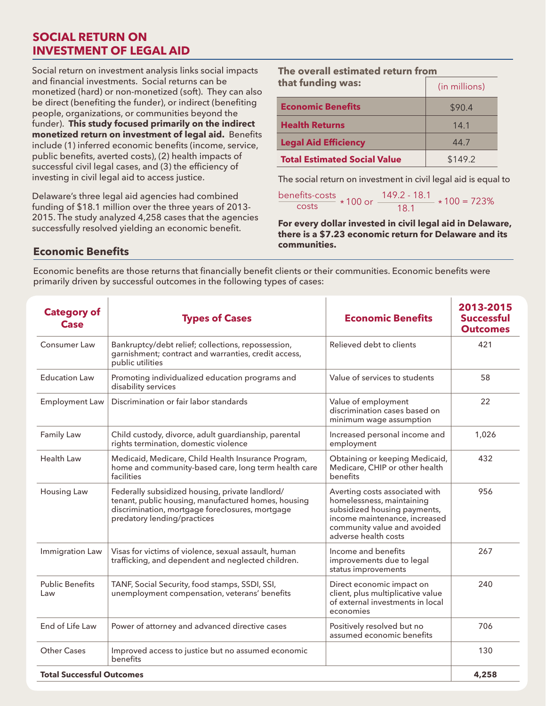### **SOCIAL RETURN ON INVESTMENT OF LEGAL AID**

Social return on investment analysis links social impacts and financial investments. Social returns can be monetized (hard) or non-monetized (soft). They can also be direct (benefiting the funder), or indirect (benefiting people, organizations, or communities beyond the funder). **This study focused primarily on the indirect monetized return on investment of legal aid.** Benefits include (1) inferred economic benefits (income, service, public benefits, averted costs), (2) health impacts of successful civil legal cases, and (3) the efficiency of investing in civil legal aid to access justice.

Delaware's three legal aid agencies had combined funding of \$18.1 million over the three years of 2013- 2015. The study analyzed 4,258 cases that the agencies successfully resolved yielding an economic benefit.

| The overall estimated return from   |               |
|-------------------------------------|---------------|
| that funding was:                   | (in millions) |
| <b>Economic Benefits</b>            | \$90.4        |
| <b>Health Returns</b>               | 141           |
| <b>Legal Aid Efficiency</b>         | 44.7          |
| <b>Total Estimated Social Value</b> | \$149.2       |

The social return on investment in civil legal aid is equal to

```
\frac{\text{benefits-costs}}{\text{costs}} * 100 \text{ or } \frac{149.2 - 18.1}{18.1} * 100 = 723\%
```
**For every dollar invested in civil legal aid in Delaware, there is a \$7.23 economic return for Delaware and its communities.** 

#### **Economic Benefits**

Economic benefits are those returns that financially benefit clients or their communities. Economic benefits were primarily driven by successful outcomes in the following types of cases:

| <b>Category of</b><br><b>Case</b> | <b>Types of Cases</b>                                                                                                                                                                    | <b>Economic Benefits</b>                                                                                                                                                            | 2013-2015<br><b>Successful</b><br><b>Outcomes</b> |
|-----------------------------------|------------------------------------------------------------------------------------------------------------------------------------------------------------------------------------------|-------------------------------------------------------------------------------------------------------------------------------------------------------------------------------------|---------------------------------------------------|
| Consumer Law                      | Bankruptcy/debt relief; collections, repossession,<br>garnishment; contract and warranties, credit access,<br>public utilities                                                           | Relieved debt to clients                                                                                                                                                            | 421                                               |
| <b>Education Law</b>              | Promoting individualized education programs and<br>disability services                                                                                                                   | Value of services to students                                                                                                                                                       | 58                                                |
| <b>Employment Law</b>             | Discrimination or fair labor standards                                                                                                                                                   | Value of employment<br>discrimination cases based on<br>minimum wage assumption                                                                                                     | 22                                                |
| Family Law                        | Child custody, divorce, adult guardianship, parental<br>rights termination, domestic violence                                                                                            | Increased personal income and<br>employment                                                                                                                                         | 1,026                                             |
| <b>Health Law</b>                 | Medicaid, Medicare, Child Health Insurance Program,<br>home and community-based care, long term health care<br>facilities                                                                | Obtaining or keeping Medicaid,<br>Medicare, CHIP or other health<br>benefits                                                                                                        | 432                                               |
| <b>Housing Law</b>                | Federally subsidized housing, private landlord/<br>tenant, public housing, manufactured homes, housing<br>discrimination, mortgage foreclosures, mortgage<br>predatory lending/practices | Averting costs associated with<br>homelessness, maintaining<br>subsidized housing payments,<br>income maintenance, increased<br>community value and avoided<br>adverse health costs | 956                                               |
| Immigration Law                   | Visas for victims of violence, sexual assault, human<br>trafficking, and dependent and neglected children.                                                                               | Income and benefits<br>improvements due to legal<br>status improvements                                                                                                             | 267                                               |
| <b>Public Benefits</b><br>Law     | TANF, Social Security, food stamps, SSDI, SSI,<br>unemployment compensation, veterans' benefits                                                                                          | Direct economic impact on<br>client, plus multiplicative value<br>of external investments in local<br>economies                                                                     | 240                                               |
| End of Life Law                   | Power of attorney and advanced directive cases                                                                                                                                           | Positively resolved but no<br>assumed economic benefits                                                                                                                             | 706                                               |
| <b>Other Cases</b>                | Improved access to justice but no assumed economic<br>benefits                                                                                                                           |                                                                                                                                                                                     | 130                                               |
| <b>Total Successful Outcomes</b>  |                                                                                                                                                                                          |                                                                                                                                                                                     | 4,258                                             |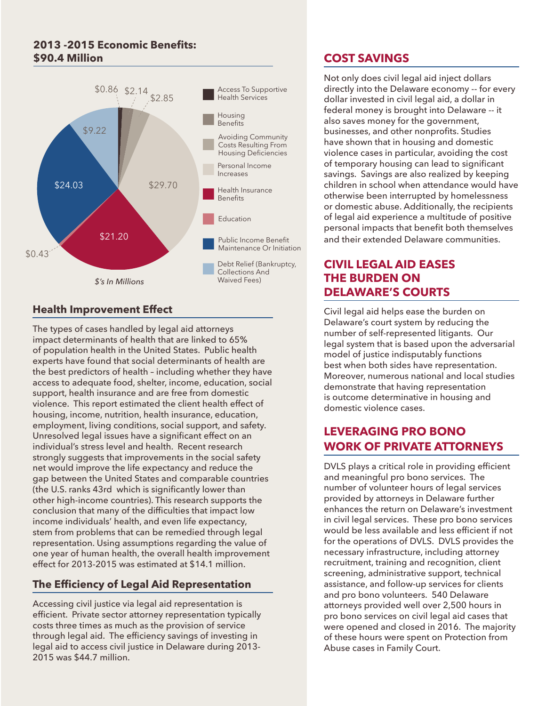#### **2013 -2015 Economic Benefits: \$90.4 Million**



### **Health Improvement Effect**

The types of cases handled by legal aid attorneys impact determinants of health that are linked to 65% of population health in the United States. Public health experts have found that social determinants of health are the best predictors of health – including whether they have access to adequate food, shelter, income, education, social support, health insurance and are free from domestic violence. This report estimated the client health effect of housing, income, nutrition, health insurance, education, employment, living conditions, social support, and safety. Unresolved legal issues have a significant effect on an individual's stress level and health. Recent research strongly suggests that improvements in the social safety net would improve the life expectancy and reduce the gap between the United States and comparable countries (the U.S. ranks 43rd which is significantly lower than other high-income countries). This research supports the conclusion that many of the difficulties that impact low income individuals' health, and even life expectancy, stem from problems that can be remedied through legal representation. Using assumptions regarding the value of one year of human health, the overall health improvement effect for 2013-2015 was estimated at \$14.1 million.

### **The Efficiency of Legal Aid Representation**

Accessing civil justice via legal aid representation is efficient. Private sector attorney representation typically costs three times as much as the provision of service through legal aid. The efficiency savings of investing in legal aid to access civil justice in Delaware during 2013- 2015 was \$44.7 million.

# **COST SAVINGS**

Not only does civil legal aid inject dollars directly into the Delaware economy -- for every dollar invested in civil legal aid, a dollar in federal money is brought into Delaware -- it also saves money for the government, businesses, and other nonprofits. Studies have shown that in housing and domestic violence cases in particular, avoiding the cost of temporary housing can lead to significant savings. Savings are also realized by keeping children in school when attendance would have otherwise been interrupted by homelessness or domestic abuse. Additionally, the recipients of legal aid experience a multitude of positive personal impacts that benefit both themselves and their extended Delaware communities.

### **CIVIL LEGAL AID EASES THE BURDEN ON DELAWARE'S COURTS**

Civil legal aid helps ease the burden on Delaware's court system by reducing the number of self-represented litigants. Our legal system that is based upon the adversarial model of justice indisputably functions best when both sides have representation. Moreover, numerous national and local studies demonstrate that having representation is outcome determinative in housing and domestic violence cases.

# **LEVERAGING PRO BONO WORK OF PRIVATE ATTORNEYS**

DVLS plays a critical role in providing efficient and meaningful pro bono services. The number of volunteer hours of legal services provided by attorneys in Delaware further enhances the return on Delaware's investment in civil legal services. These pro bono services would be less available and less efficient if not for the operations of DVLS. DVLS provides the necessary infrastructure, including attorney recruitment, training and recognition, client screening, administrative support, technical assistance, and follow-up services for clients and pro bono volunteers. 540 Delaware attorneys provided well over 2,500 hours in pro bono services on civil legal aid cases that were opened and closed in 2016. The majority of these hours were spent on Protection from Abuse cases in Family Court.